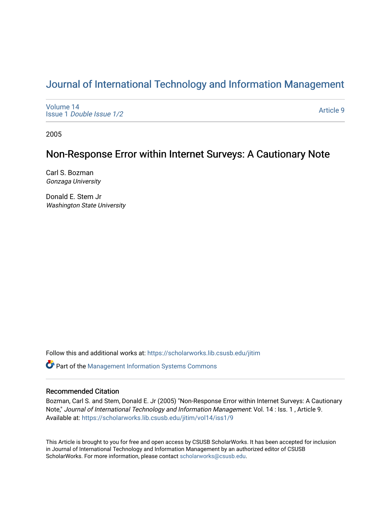# [Journal of International Technology and Information Management](https://scholarworks.lib.csusb.edu/jitim)

[Volume 14](https://scholarworks.lib.csusb.edu/jitim/vol14) Issue 1 [Double Issue 1/2](https://scholarworks.lib.csusb.edu/jitim/vol14/iss1) 

[Article 9](https://scholarworks.lib.csusb.edu/jitim/vol14/iss1/9) 

2005

# Non-Response Error within Internet Surveys: A Cautionary Note

Carl S. Bozman Gonzaga University

Donald E. Stem Jr Washington State University

Follow this and additional works at: [https://scholarworks.lib.csusb.edu/jitim](https://scholarworks.lib.csusb.edu/jitim?utm_source=scholarworks.lib.csusb.edu%2Fjitim%2Fvol14%2Fiss1%2F9&utm_medium=PDF&utm_campaign=PDFCoverPages) 

**C** Part of the Management Information Systems Commons

# Recommended Citation

Bozman, Carl S. and Stem, Donald E. Jr (2005) "Non-Response Error within Internet Surveys: A Cautionary Note," Journal of International Technology and Information Management: Vol. 14 : Iss. 1 , Article 9. Available at: [https://scholarworks.lib.csusb.edu/jitim/vol14/iss1/9](https://scholarworks.lib.csusb.edu/jitim/vol14/iss1/9?utm_source=scholarworks.lib.csusb.edu%2Fjitim%2Fvol14%2Fiss1%2F9&utm_medium=PDF&utm_campaign=PDFCoverPages) 

This Article is brought to you for free and open access by CSUSB ScholarWorks. It has been accepted for inclusion in Journal of International Technology and Information Management by an authorized editor of CSUSB ScholarWorks. For more information, please contact [scholarworks@csusb.edu.](mailto:scholarworks@csusb.edu)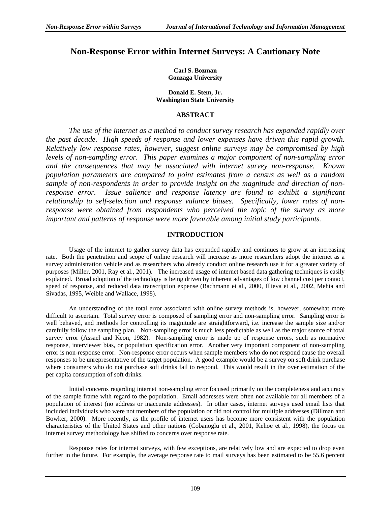# **Non-Response Error within Internet Surveys: A Cautionary Note**

**Carl S. Bozman Gonzaga University** 

**Donald E. Stem, Jr. Washington State University** 

#### **ABSTRACT**

*The use of the internet as a method to conduct survey research has expanded rapidly over the past decade. High speeds of response and lower expenses have driven this rapid growth. Relatively low response rates, however, suggest online surveys may be compromised by high levels of non-sampling error. This paper examines a major component of non-sampling error and the consequences that may be associated with internet survey non-response. Known population parameters are compared to point estimates from a census as well as a random sample of non-respondents in order to provide insight on the magnitude and direction of nonresponse error. Issue salience and response latency are found to exhibit a significant relationship to self-selection and response valance biases. Specifically, lower rates of nonresponse were obtained from respondents who perceived the topic of the survey as more important and patterns of response were more favorable among initial study participants.* 

### **INTRODUCTION**

Usage of the internet to gather survey data has expanded rapidly and continues to grow at an increasing rate. Both the penetration and scope of online research will increase as more researchers adopt the internet as a survey administration vehicle and as researchers who already conduct online research use it for a greater variety of purposes (Miller, 2001, Ray et al., 2001). The increased usage of internet based data gathering techniques is easily explained. Broad adoption of the technology is being driven by inherent advantages of low channel cost per contact, speed of response, and reduced data transcription expense (Bachmann et al., 2000, Illieva et al., 2002, Mehta and Sivadas, 1995, Weible and Wallace, 1998).

An understanding of the total error associated with online survey methods is, however, somewhat more difficult to ascertain. Total survey error is composed of sampling error and non-sampling error. Sampling error is well behaved, and methods for controlling its magnitude are straightforward, i.e. increase the sample size and/or carefully follow the sampling plan. Non-sampling error is much less predictable as well as the major source of total survey error (Assael and Keon, 1982). Non-sampling error is made up of response errors, such as normative response, interviewer bias, or population specification error. Another very important component of non-sampling error is non-response error. Non-response error occurs when sample members who do not respond cause the overall responses to be unrepresentative of the target population. A good example would be a survey on soft drink purchase where consumers who do not purchase soft drinks fail to respond. This would result in the over estimation of the per capita consumption of soft drinks.

Initial concerns regarding internet non-sampling error focused primarily on the completeness and accuracy of the sample frame with regard to the population. Email addresses were often not available for all members of a population of interest (no address or inaccurate addresses). In other cases, internet surveys used email lists that included individuals who were not members of the population or did not control for multiple addresses (Dillman and Bowker, 2000). More recently, as the profile of internet users has become more consistent with the population characteristics of the United States and other nations (Cobanoglu et al., 2001, Kehoe et al., 1998), the focus on internet survey methodology has shifted to concerns over response rate.

Response rates for internet surveys, with few exceptions, are relatively low and are expected to drop even further in the future. For example, the average response rate to mail surveys has been estimated to be 55.6 percent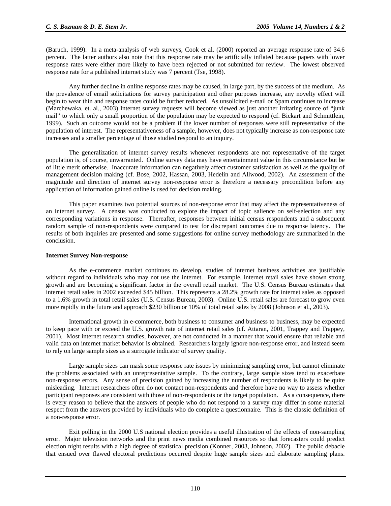(Baruch, 1999). In a meta-analysis of web surveys, Cook et al. (2000) reported an average response rate of 34.6 percent. The latter authors also note that this response rate may be artificially inflated because papers with lower response rates were either more likely to have been rejected or not submitted for review. The lowest observed response rate for a published internet study was 7 percent (Tse, 1998).

Any further decline in online response rates may be caused, in large part, by the success of the medium. As the prevalence of email solicitations for survey participation and other purposes increase, any novelty effect will begin to wear thin and response rates could be further reduced. As unsolicited e-mail or Spam continues to increase (Marchewaka, et. al., 2003) Internet survey requests will become viewed as just another irritating source of "junk mail" to which only a small proportion of the population may be expected to respond (cf. Bickart and Schmittlein, 1999). Such an outcome would not be a problem if the lower number of responses were still representative of the population of interest. The representativeness of a sample, however, does not typically increase as non-response rate increases and a smaller percentage of those studied respond to an inquiry.

The generalization of internet survey results whenever respondents are not representative of the target population is, of course, unwarranted. Online survey data may have entertainment value in this circumstance but be of little merit otherwise. Inaccurate information can negatively affect customer satisfaction as well as the quality of management decision making (cf. Bose, 2002, Hassan, 2003, Hedelin and Allwood, 2002). An assessment of the magnitude and direction of internet survey non-response error is therefore a necessary precondition before any application of information gained online is used for decision making.

This paper examines two potential sources of non-response error that may affect the representativeness of an internet survey. A census was conducted to explore the impact of topic salience on self-selection and any corresponding variations in response. Thereafter, responses between initial census respondents and a subsequent random sample of non-respondents were compared to test for discrepant outcomes due to response latency. The results of both inquiries are presented and some suggestions for online survey methodology are summarized in the conclusion.

#### **Internet Survey Non-response**

 As the e-commerce market continues to develop, studies of internet business activities are justifiable without regard to individuals who may not use the internet. For example, internet retail sales have shown strong growth and are becoming a significant factor in the overall retail market. The U.S. Census Bureau estimates that internet retail sales in 2002 exceeded \$45 billion. This represents a 28.2% growth rate for internet sales as opposed to a 1.6% growth in total retail sales (U.S. Census Bureau, 2003). Online U.S. retail sales are forecast to grow even more rapidly in the future and approach \$230 billion or 10% of total retail sales by 2008 (Johnson et al., 2003).

International growth in e-commerce, both business to consumer and business to business, may be expected to keep pace with or exceed the U.S. growth rate of internet retail sales (cf. Attaran, 2001, Trappey and Trappey, 2001). Most internet research studies, however, are not conducted in a manner that would ensure that reliable and valid data on internet market behavior is obtained. Researchers largely ignore non-response error, and instead seem to rely on large sample sizes as a surrogate indicator of survey quality.

Large sample sizes can mask some response rate issues by minimizing sampling error, but cannot eliminate the problems associated with an unrepresentative sample. To the contrary, large sample sizes tend to exacerbate non-response errors. Any sense of precision gained by increasing the number of respondents is likely to be quite misleading. Internet researchers often do not contact non-respondents and therefore have no way to assess whether participant responses are consistent with those of non-respondents or the target population. As a consequence, there is every reason to believe that the answers of people who do not respond to a survey may differ in some material respect from the answers provided by individuals who do complete a questionnaire. This is the classic definition of a non-response error.

Exit polling in the 2000 U.S national election provides a useful illustration of the effects of non-sampling error. Major television networks and the print news media combined resources so that forecasters could predict election night results with a high degree of statistical precision (Konner, 2003, Johnson, 2002). The public debacle that ensued over flawed electoral predictions occurred despite huge sample sizes and elaborate sampling plans.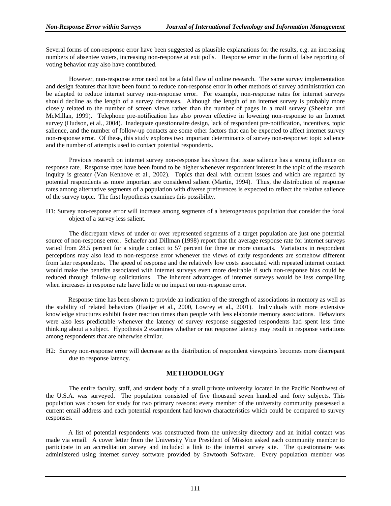Several forms of non-response error have been suggested as plausible explanations for the results, e.g. an increasing numbers of absentee voters, increasing non-response at exit polls. Response error in the form of false reporting of voting behavior may also have contributed.

However, non-response error need not be a fatal flaw of online research. The same survey implementation and design features that have been found to reduce non-response error in other methods of survey administration can be adapted to reduce internet survey non-response error. For example, non-response rates for internet surveys should decline as the length of a survey decreases. Although the length of an internet survey is probably more closely related to the number of screen views rather than the number of pages in a mail survey (Sheehan and McMillan, 1999). Telephone pre-notification has also proven effective in lowering non-response to an Internet survey (Hudson, et al., 2004). Inadequate questionnaire design, lack of respondent pre-notification, incentives, topic salience, and the number of follow-up contacts are some other factors that can be expected to affect internet survey non-response error. Of these, this study explores two important determinants of survey non-response: topic salience and the number of attempts used to contact potential respondents.

 Previous research on internet survey non-response has shown that issue salience has a strong influence on response rate. Response rates have been found to be higher whenever respondent interest in the topic of the research inquiry is greater (Van Kenhove et al., 2002). Topics that deal with current issues and which are regarded by potential respondents as more important are considered salient (Martin, 1994). Thus, the distribution of response rates among alternative segments of a population with diverse preferences is expected to reflect the relative salience of the survey topic. The first hypothesis examines this possibility.

H1: Survey non-response error will increase among segments of a heterogeneous population that consider the focal object of a survey less salient.

The discrepant views of under or over represented segments of a target population are just one potential source of non-response error. Schaefer and Dillman (1998) report that the average response rate for internet surveys varied from 28.5 percent for a single contact to 57 percent for three or more contacts. Variations in respondent perceptions may also lead to non-response error whenever the views of early respondents are somehow different from later respondents. The speed of response and the relatively low costs associated with repeated internet contact would make the benefits associated with internet surveys even more desirable if such non-response bias could be reduced through follow-up solicitations. The inherent advantages of internet surveys would be less compelling when increases in response rate have little or no impact on non-response error.

 Response time has been shown to provide an indication of the strength of associations in memory as well as the stability of related behaviors (Haaijer et al., 2000, Lowrey et al., 2001). Individuals with more extensive knowledge structures exhibit faster reaction times than people with less elaborate memory associations. Behaviors were also less predictable whenever the latency of survey response suggested respondents had spent less time thinking about a subject. Hypothesis 2 examines whether or not response latency may result in response variations among respondents that are otherwise similar.

H2: Survey non-response error will decrease as the distribution of respondent viewpoints becomes more discrepant due to response latency.

#### **METHODOLOGY**

The entire faculty, staff, and student body of a small private university located in the Pacific Northwest of the U.S.A. was surveyed. The population consisted of five thousand seven hundred and forty subjects. This population was chosen for study for two primary reasons: every member of the university community possessed a current email address and each potential respondent had known characteristics which could be compared to survey responses.

 A list of potential respondents was constructed from the university directory and an initial contact was made via email. A cover letter from the University Vice President of Mission asked each community member to participate in an accreditation survey and included a link to the internet survey site. The questionnaire was administered using internet survey software provided by Sawtooth Software. Every population member was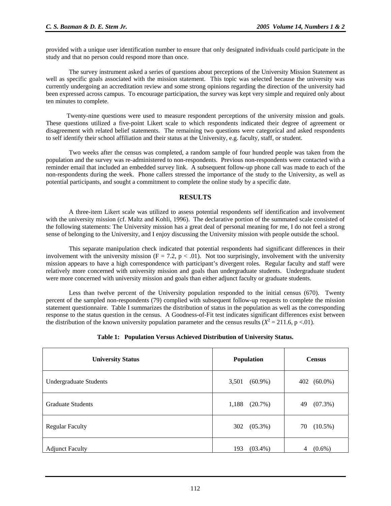provided with a unique user identification number to ensure that only designated individuals could participate in the study and that no person could respond more than once.

The survey instrument asked a series of questions about perceptions of the University Mission Statement as well as specific goals associated with the mission statement. This topic was selected because the university was currently undergoing an accreditation review and some strong opinions regarding the direction of the university had been expressed across campus. To encourage participation, the survey was kept very simple and required only about ten minutes to complete.

 Twenty-nine questions were used to measure respondent perceptions of the university mission and goals. These questions utilized a five-point Likert scale to which respondents indicated their degree of agreement or disagreement with related belief statements. The remaining two questions were categorical and asked respondents to self identify their school affiliation and their status at the University, e.g. faculty, staff, or student.

Two weeks after the census was completed, a random sample of four hundred people was taken from the population and the survey was re-administered to non-respondents. Previous non-respondents were contacted with a reminder email that included an embedded survey link. A subsequent follow-up phone call was made to each of the non-respondents during the week. Phone callers stressed the importance of the study to the University, as well as potential participants, and sought a commitment to complete the online study by a specific date.

# **RESULTS**

 A three-item Likert scale was utilized to assess potential respondents self identification and involvement with the university mission (cf. Maltz and Kohli, 1996). The declarative portion of the summated scale consisted of the following statements: The University mission has a great deal of personal meaning for me, I do not feel a strong sense of belonging to the University, and I enjoy discussing the University mission with people outside the school.

This separate manipulation check indicated that potential respondents had significant differences in their involvement with the university mission ( $F = 7.2$ ,  $p < .01$ ). Not too surprisingly, involvement with the university mission appears to have a high correspondence with participant's divergent roles. Regular faculty and staff were relatively more concerned with university mission and goals than undergraduate students. Undergraduate student were more concerned with university mission and goals than either adjunct faculty or graduate students.

Less than twelve percent of the University population responded to the initial census (670). Twenty percent of the sampled non-respondents (79) complied with subsequent follow-up requests to complete the mission statement questionnaire. Table I summarizes the distribution of status in the population as well as the corresponding response to the status question in the census. A Goodness-of-Fit test indicates significant differences exist between the distribution of the known university population parameter and the census results  $(X^2 = 211.6, p < 01)$ .

|  |  |  | Table 1: Population Versus Achieved Distribution of University Status. |  |  |  |
|--|--|--|------------------------------------------------------------------------|--|--|--|
|--|--|--|------------------------------------------------------------------------|--|--|--|

| <b>University Status</b>      | <b>Population</b>   | <b>Census</b>     |
|-------------------------------|---------------------|-------------------|
| <b>Undergraduate Students</b> | 3,501<br>$(60.9\%)$ | $(60.0\%)$<br>402 |
| <b>Graduate Students</b>      | 1,188<br>(20.7%)    | $(07.3\%)$<br>49  |
| <b>Regular Faculty</b>        | 302 (05.3%)         | 70<br>$(10.5\%)$  |
| <b>Adjunct Faculty</b>        | $(03.4\%)$<br>193   | $(0.6\%)$<br>4    |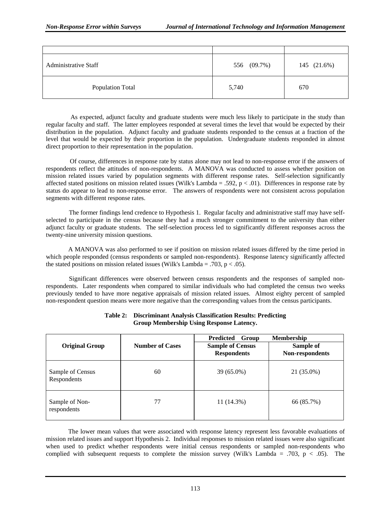| <b>Administrative Staff</b> | 556 (09.7%) | 145 (21.6%) |
|-----------------------------|-------------|-------------|
| <b>Population Total</b>     | 5,740       | 670         |

 As expected, adjunct faculty and graduate students were much less likely to participate in the study than regular faculty and staff. The latter employees responded at several times the level that would be expected by their distribution in the population. Adjunct faculty and graduate students responded to the census at a fraction of the level that would be expected by their proportion in the population. Undergraduate students responded in almost direct proportion to their representation in the population.

 Of course, differences in response rate by status alone may not lead to non-response error if the answers of respondents reflect the attitudes of non-respondents. A MANOVA was conducted to assess whether position on mission related issues varied by population segments with different response rates. Self-selection significantly affected stated positions on mission related issues (Wilk's Lambda = .592,  $p < .01$ ). Differences in response rate by status do appear to lead to non-response error. The answers of respondents were not consistent across population segments with different response rates.

The former findings lend credence to Hypothesis 1. Regular faculty and administrative staff may have selfselected to participate in the census because they had a much stronger commitment to the university than either adjunct faculty or graduate students. The self-selection process led to significantly different responses across the twenty-nine university mission questions.

 A MANOVA was also performed to see if position on mission related issues differed by the time period in which people responded (census respondents or sampled non-respondents). Response latency significantly affected the stated positions on mission related issues (Wilk's Lambda = .703,  $p < .05$ ).

Significant differences were observed between census respondents and the responses of sampled nonrespondents. Later respondents when compared to similar individuals who had completed the census two weeks previously tended to have more negative appraisals of mission related issues. Almost eighty percent of sampled non-respondent question means were more negative than the corresponding values from the census participants.

| <b>Original Group</b>           | <b>Number of Cases</b> | Predicted Group<br><b>Sample of Census</b><br><b>Respondents</b> | <b>Membership</b><br>Sample of<br>Non-respondents |
|---------------------------------|------------------------|------------------------------------------------------------------|---------------------------------------------------|
| Sample of Census<br>Respondents | 60                     | 39 (65.0%)                                                       | 21 (35.0%)                                        |
| Sample of Non-<br>respondents   | 77                     | 11 (14.3%)                                                       | 66 (85.7%)                                        |

#### **Table 2: Discriminant Analysis Classification Results: Predicting Group Membership Using Response Latency.**

 The lower mean values that were associated with response latency represent less favorable evaluations of mission related issues and support Hypothesis 2. Individual responses to mission related issues were also significant when used to predict whether respondents were initial census respondents or sampled non-respondents who complied with subsequent requests to complete the mission survey (Wilk's Lambda = .703, p < .05). The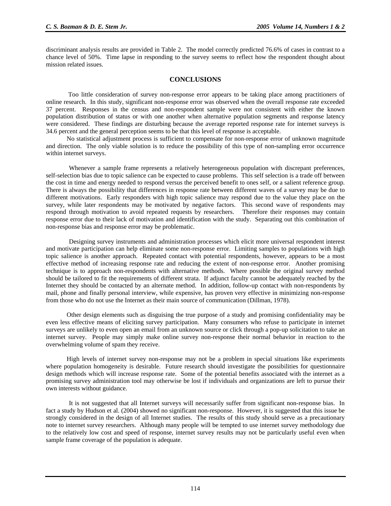discriminant analysis results are provided in Table 2. The model correctly predicted 76.6% of cases in contrast to a chance level of 50%. Time lapse in responding to the survey seems to reflect how the respondent thought about mission related issues.

# **CONCLUSIONS**

 Too little consideration of survey non-response error appears to be taking place among practitioners of online research. In this study, significant non-response error was observed when the overall response rate exceeded 37 percent. Responses in the census and non-respondent sample were not consistent with either the known population distribution of status or with one another when alternative population segments and response latency were considered. These findings are disturbing because the average reported response rate for internet surveys is 34.6 percent and the general perception seems to be that this level of response is acceptable.

 No statistical adjustment process is sufficient to compensate for non-response error of unknown magnitude and direction. The only viable solution is to reduce the possibility of this type of non-sampling error occurrence within internet surveys.

Whenever a sample frame represents a relatively heterogeneous population with discrepant preferences, self-selection bias due to topic salience can be expected to cause problems. This self selection is a trade off between the cost in time and energy needed to respond versus the perceived benefit to ones self, or a salient reference group. There is always the possibility that differences in response rate between different waves of a survey may be due to different motivations. Early responders with high topic salience may respond due to the value they place on the survey, while later respondents may be motivated by negative factors. This second wave of respondents may respond through motivation to avoid repeated requests by researchers. Therefore their responses may contain response error due to their lack of motivation and identification with the study. Separating out this combination of non-response bias and response error may be problematic.

Designing survey instruments and administration processes which elicit more universal respondent interest and motivate participation can help eliminate some non-response error. Limiting samples to populations with high topic salience is another approach. Repeated contact with potential respondents, however, appears to be a most effective method of increasing response rate and reducing the extent of non-response error. Another promising technique is to approach non-respondents with alternative methods. Where possible the original survey method should be tailored to fit the requirements of different strata. If adjunct faculty cannot be adequately reached by the Internet they should be contacted by an alternate method. In addition, follow-up contact with non-respondents by mail, phone and finally personal interview, while expensive, has proven very effective in minimizing non-response from those who do not use the Internet as their main source of communication (Dillman, 1978).

 Other design elements such as disguising the true purpose of a study and promising confidentiality may be even less effective means of eliciting survey participation. Many consumers who refuse to participate in internet surveys are unlikely to even open an email from an unknown source or click through a pop-up solicitation to take an internet survey. People may simply make online survey non-response their normal behavior in reaction to the overwhelming volume of spam they receive.

 High levels of internet survey non-response may not be a problem in special situations like experiments where population homogeneity is desirable. Future research should investigate the possibilities for questionnaire design methods which will increase response rate. Some of the potential benefits associated with the internet as a promising survey administration tool may otherwise be lost if individuals and organizations are left to pursue their own interests without guidance.

 It is not suggested that all Internet surveys will necessarily suffer from significant non-response bias. In fact a study by Hudson et al. (2004) showed no significant non-response. However, it is suggested that this issue be strongly considered in the design of all Internet studies. The results of this study should serve as a precautionary note to internet survey researchers. Although many people will be tempted to use internet survey methodology due to the relatively low cost and speed of response, internet survey results may not be particularly useful even when sample frame coverage of the population is adequate.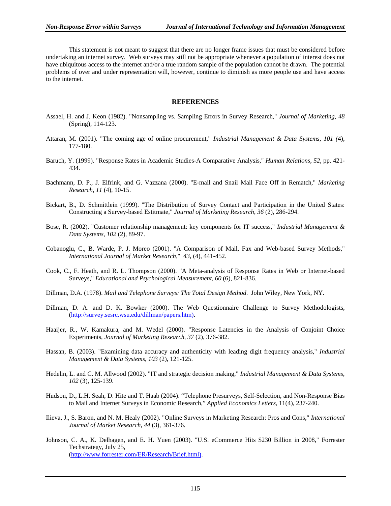This statement is not meant to suggest that there are no longer frame issues that must be considered before undertaking an internet survey. Web surveys may still not be appropriate whenever a population of interest does not have ubiquitous access to the internet and/or a true random sample of the population cannot be drawn. The potential problems of over and under representation will, however, continue to diminish as more people use and have access to the internet.

#### **REFERENCES**

- Assael, H. and J. Keon (1982). "Nonsampling vs. Sampling Errors in Survey Research," *Journal of Marketing*, *48* (Spring), 114-123.
- Attaran, M. (2001). "The coming age of online procurement," *Industrial Management & Data Systems*, *101 (*4), 177-180.
- Baruch, Y. (1999). "Response Rates in Academic Studies-A Comparative Analysis," *Human Relations*, *52*, pp. 421- 434.
- Bachmann, D. P., J. Elfrink, and G. Vazzana (2000). "E-mail and Snail Mail Face Off in Rematch," *Marketing Research*, *11* (4), 10-15.
- Bickart, B., D. Schmittlein (1999). "The Distribution of Survey Contact and Participation in the United States: Constructing a Survey-based Estitmate," *Journal of Marketing Research*, *36* (2), 286-294.
- Bose, R. (2002). "Customer relationship management: key components for IT success," *Industrial Management & Data Systems*, *102* (2), 89-97.
- Cobanoglu, C., B. Warde, P. J. Moreo (2001). "A Comparison of Mail, Fax and Web-based Survey Methods," *International Journal of Market Research*," *43*, (4), 441-452.
- Cook, C., F. Heath, and R. L. Thompson (2000). "A Meta-analysis of Response Rates in Web or Internet-based Surveys," *Educational and Psychological Measurement*, *60* (6), 821-836.
- Dillman, D.A. (1978). *Mail and Telephone Surveys: The Total Design Method*. John Wiley, New York, NY.
- Dillman, D. A. and D. K. Bowker (2000). The Web Questionnaire Challenge to Survey Methodologists, (http://survey.sesrc.wsu.edu/dillman/papers.htm).
- Haaijer, R., W. Kamakura, and M. Wedel (2000). "Response Latencies in the Analysis of Conjoint Choice Experiments, *Journal of Marketing Research*, *37* (2), 376-382.
- Hassan, B. (2003). "Examining data accuracy and authenticity with leading digit frequency analysis," *Industrial Management & Data Systems*, *103* (2), 121-125.
- Hedelin, L. and C. M. Allwood (2002). "IT and strategic decision making," *Industrial Management & Data Systems*, *102* (3), 125-139.
- Hudson, D., L.H. Seah, D. Hite and T. Haab (2004). "Telephone Presurveys, Self-Selection, and Non-Response Bias to Mail and Internet Surveys in Economic Research," *Applied Economics Letters*, 11(4), 237-240.
- Ilieva, J., S. Baron, and N. M. Healy (2002). "Online Surveys in Marketing Research: Pros and Cons," *International Journal of Market Research*, *44* (3), 361-376.
- Johnson, C. A., K. Delhagen, and E. H. Yuen (2003). "U.S. eCommerce Hits \$230 Billion in 2008," Forrester Techstrategy, July 25, (http://www.forrester.com/ER/Research/Brief.html).